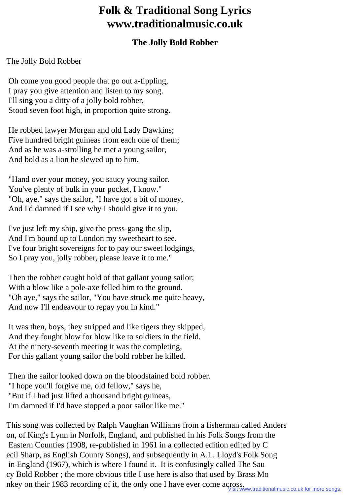## **Folk & Traditional Song Lyrics www.traditionalmusic.co.uk**

## **The Jolly Bold Robber**

The Jolly Bold Robber

 Oh come you good people that go out a-tippling, I pray you give attention and listen to my song. I'll sing you a ditty of a jolly bold robber, Stood seven foot high, in proportion quite strong.

 He robbed lawyer Morgan and old Lady Dawkins; Five hundred bright guineas from each one of them; And as he was a-strolling he met a young sailor, And bold as a lion he slewed up to him.

 "Hand over your money, you saucy young sailor. You've plenty of bulk in your pocket, I know." "Oh, aye," says the sailor, "I have got a bit of money, And I'd damned if I see why I should give it to you.

 I've just left my ship, give the press-gang the slip, And I'm bound up to London my sweetheart to see. I've four bright sovereigns for to pay our sweet lodgings, So I pray you, jolly robber, please leave it to me."

 Then the robber caught hold of that gallant young sailor; With a blow like a pole-axe felled him to the ground. "Oh aye," says the sailor, "You have struck me quite heavy, And now I'll endeavour to repay you in kind."

 It was then, boys, they stripped and like tigers they skipped, And they fought blow for blow like to soldiers in the field. At the ninety-seventh meeting it was the completing, For this gallant young sailor the bold robber he killed.

 Then the sailor looked down on the bloodstained bold robber. "I hope you'll forgive me, old fellow," says he, "But if I had just lifted a thousand bright guineas, I'm damned if I'd have stopped a poor sailor like me."

This song was collected by Ralph Vaughan Williams from a fisherman called Anders on, of King's Lynn in Norfolk, England, and published in his Folk Songs from the Eastern Counties (1908, re-published in 1961 in a collected edition edited by C ecil Sharp, as English County Songs), and subsequently in A.L. Lloyd's Folk Song in England (1967), which is where I found it. It is confusingly called The Sau cy Bold Robber ; the more obvious title I use here is also that used by Brass Mo nkey on their 1983 recording of it, the only one I have ever come across.

ww.traditionalmusic.co.uk for more songs.